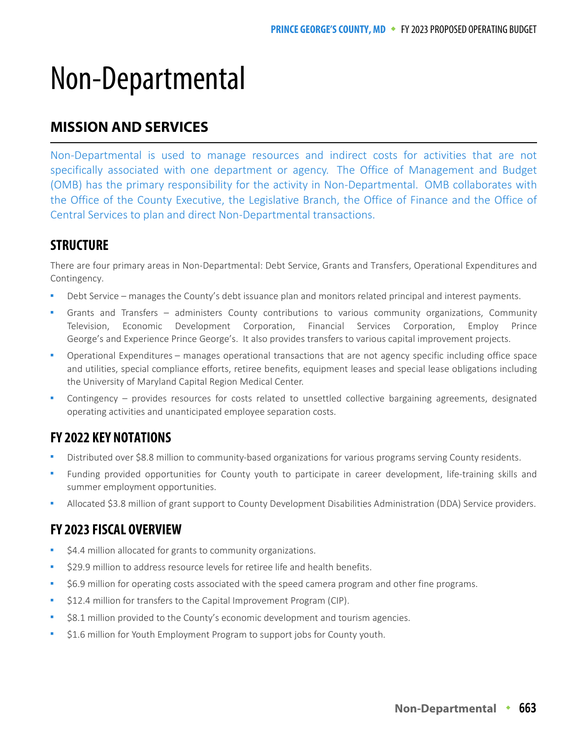# Non-Departmental

# **MISSION AND SERVICES**

Non-Departmental is used to manage resources and indirect costs for activities that are not specifically associated with one department or agency. The Office of Management and Budget (OMB) has the primary responsibility for the activity in Non-Departmental. OMB collaborates with the Office of the County Executive, the Legislative Branch, the Office of Finance and the Office of Central Services to plan and direct Non-Departmental transactions.

# **STRUCTURE**

There are four primary areas in Non-Departmental: Debt Service, Grants and Transfers, Operational Expenditures and Contingency.

- Debt Service manages the County's debt issuance plan and monitors related principal and interest payments.
- Grants and Transfers administers County contributions to various community organizations, Community Television, Economic Development Corporation, Financial Services Corporation, Employ Prince George's and Experience Prince George's. It also provides transfers to various capital improvement projects.
- Operational Expenditures manages operational transactions that are not agency specific including office space and utilities, special compliance efforts, retiree benefits, equipment leases and special lease obligations including the University of Maryland Capital Region Medical Center.
- Contingency provides resources for costs related to unsettled collective bargaining agreements, designated operating activities and unanticipated employee separation costs.

# **FY 2022 KEY NOTATIONS**

- Distributed over \$8.8 million to community-based organizations for various programs serving County residents.
- Funding provided opportunities for County youth to participate in career development, life-training skills and summer employment opportunities.
- Allocated \$3.8 million of grant support to County Development Disabilities Administration (DDA) Service providers.

# **FY 2023 FISCAL OVERVIEW**

- \$4.4 million allocated for grants to community organizations.
- \$29.9 million to address resource levels for retiree life and health benefits.
- \$6.9 million for operating costs associated with the speed camera program and other fine programs.
- \$12.4 million for transfers to the Capital Improvement Program (CIP).
- \$8.1 million provided to the County's economic development and tourism agencies.
- \$1.6 million for Youth Employment Program to support jobs for County youth.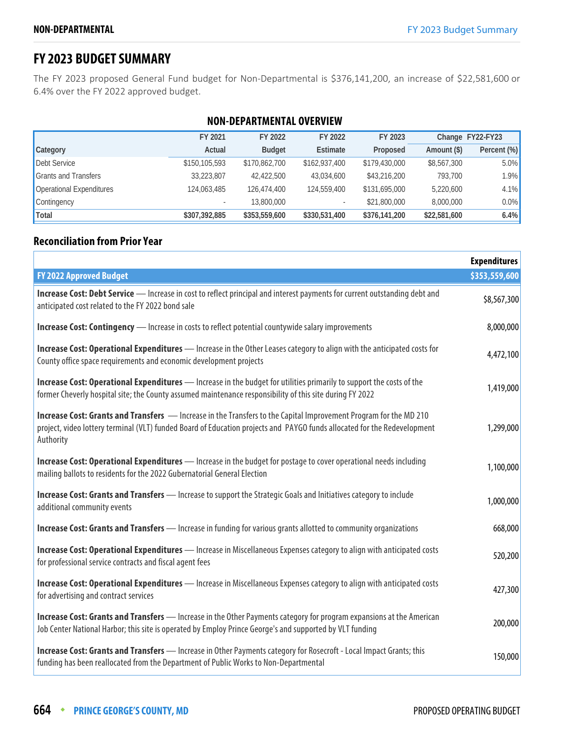# **FY 2023 BUDGET SUMMARY**

The FY 2023 proposed General Fund budget for Non-Departmental is \$376,141,200, an increase of \$22,581,600 or 6.4% over the FY 2022 approved budget.

| <b>NON-DEPARTMENTAL OVERVIEW</b> |                                                              |               |                          |               |              |             |  |  |  |
|----------------------------------|--------------------------------------------------------------|---------------|--------------------------|---------------|--------------|-------------|--|--|--|
|                                  | FY 2023<br>Change FY22-FY23<br>FY 2021<br>FY 2022<br>FY 2022 |               |                          |               |              |             |  |  |  |
| Category                         | Actual                                                       | <b>Budget</b> | Estimate                 | Proposed      | Amount (\$)  | Percent (%) |  |  |  |
| Debt Service                     | \$150,105,593                                                | \$170,862,700 | \$162,937,400            | \$179,430,000 | \$8,567,300  | 5.0%        |  |  |  |
| <b>Grants and Transfers</b>      | 33,223,807                                                   | 42,422,500    | 43,034,600               | \$43,216,200  | 793,700      | 1.9%        |  |  |  |
| Operational Expenditures         | 124,063,485                                                  | 126,474,400   | 124,559,400              | \$131,695,000 | 5,220,600    | 4.1%        |  |  |  |
| Contingency                      |                                                              | 13,800,000    | $\overline{\phantom{a}}$ | \$21,800,000  | 8,000,000    | 0.0%        |  |  |  |
| Total                            | \$307,392,885                                                | \$353,559,600 | \$330,531,400            | \$376,141,200 | \$22,581,600 | 6.4%        |  |  |  |

#### **Reconciliation from Prior Year**

|                                                                                                                                                                                                                                                                   | <b>Expenditures</b> |
|-------------------------------------------------------------------------------------------------------------------------------------------------------------------------------------------------------------------------------------------------------------------|---------------------|
| <b>FY 2022 Approved Budget</b>                                                                                                                                                                                                                                    | \$353,559,600       |
| Increase Cost: Debt Service - Increase in cost to reflect principal and interest payments for current outstanding debt and<br>anticipated cost related to the FY 2022 bond sale                                                                                   | \$8,567,300         |
| <b>Increase Cost: Contingency</b> - Increase in costs to reflect potential countywide salary improvements                                                                                                                                                         | 8,000,000           |
| Increase Cost: Operational Expenditures - Increase in the Other Leases category to align with the anticipated costs for<br>County office space requirements and economic development projects                                                                     | 4,472,100           |
| <b>Increase Cost: Operational Expenditures</b> - Increase in the budget for utilities primarily to support the costs of the<br>former Cheverly hospital site; the County assumed maintenance responsibility of this site during FY 2022                           | 1,419,000           |
| <b>Increase Cost: Grants and Transfers</b> - Increase in the Transfers to the Capital Improvement Program for the MD 210<br>project, video lottery terminal (VLT) funded Board of Education projects and PAYGO funds allocated for the Redevelopment<br>Authority | 1,299,000           |
| Increase Cost: Operational Expenditures - Increase in the budget for postage to cover operational needs including<br>mailing ballots to residents for the 2022 Gubernatorial General Election                                                                     | 1,100,000           |
| <b>Increase Cost: Grants and Transfers</b> - Increase to support the Strategic Goals and Initiatives category to include<br>additional community events                                                                                                           | 1,000,000           |
| <b>Increase Cost: Grants and Transfers</b> — Increase in funding for various grants allotted to community organizations                                                                                                                                           | 668,000             |
| Increase Cost: Operational Expenditures - Increase in Miscellaneous Expenses category to align with anticipated costs<br>for professional service contracts and fiscal agent fees                                                                                 | 520,200             |
| Increase Cost: Operational Expenditures - Increase in Miscellaneous Expenses category to align with anticipated costs<br>for advertising and contract services                                                                                                    | 427,300             |
| Increase Cost: Grants and Transfers - Increase in the Other Payments category for program expansions at the American<br>Job Center National Harbor; this site is operated by Employ Prince George's and supported by VLT funding                                  | 200,000             |
| Increase Cost: Grants and Transfers - Increase in Other Payments category for Rosecroft - Local Impact Grants; this<br>funding has been reallocated from the Department of Public Works to Non-Departmental                                                       | 150,000             |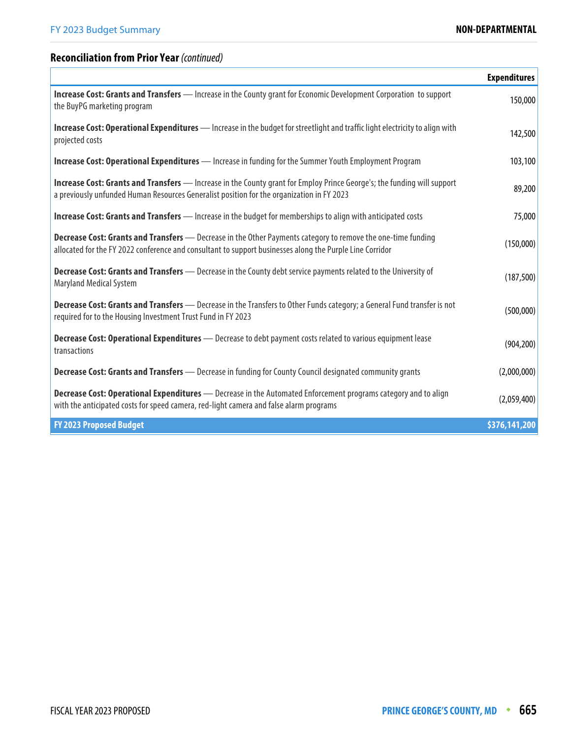'n

# **Reconciliation from Prior Year** (continued)

|                                                                                                                                                                                                                                 | <b>Expenditures</b> |
|---------------------------------------------------------------------------------------------------------------------------------------------------------------------------------------------------------------------------------|---------------------|
| Increase Cost: Grants and Transfers - Increase in the County grant for Economic Development Corporation to support<br>the BuyPG marketing program                                                                               | 150,000             |
| <b>Increase Cost: Operational Expenditures</b> — Increase in the budget for streetlight and traffic light electricity to align with<br>projected costs                                                                          | 142,500             |
| <b>Increase Cost: Operational Expenditures</b> — Increase in funding for the Summer Youth Employment Program                                                                                                                    | 103,100             |
| <b>Increase Cost: Grants and Transfers</b> — Increase in the County grant for Employ Prince George's; the funding will support<br>a previously unfunded Human Resources Generalist position for the organization in FY 2023     | 89,200              |
| <b>Increase Cost: Grants and Transfers</b> — Increase in the budget for memberships to align with anticipated costs                                                                                                             | 75,000              |
| <b>Decrease Cost: Grants and Transfers</b> - Decrease in the Other Payments category to remove the one-time funding<br>allocated for the FY 2022 conference and consultant to support businesses along the Purple Line Corridor | (150,000)           |
| Decrease Cost: Grants and Transfers - Decrease in the County debt service payments related to the University of<br><b>Maryland Medical System</b>                                                                               | (187, 500)          |
| <b>Decrease Cost: Grants and Transfers</b> — Decrease in the Transfers to Other Funds category; a General Fund transfer is not<br>required for to the Housing Investment Trust Fund in FY 2023                                  | (500,000)           |
| <b>Decrease Cost: Operational Expenditures</b> - Decrease to debt payment costs related to various equipment lease<br>transactions                                                                                              | (904, 200)          |
| <b>Decrease Cost: Grants and Transfers</b> - Decrease in funding for County Council designated community grants                                                                                                                 | (2,000,000)         |
| Decrease Cost: Operational Expenditures - Decrease in the Automated Enforcement programs category and to align<br>with the anticipated costs for speed camera, red-light camera and false alarm programs                        | (2,059,400)         |
| <b>FY 2023 Proposed Budget</b>                                                                                                                                                                                                  | \$376,141,200       |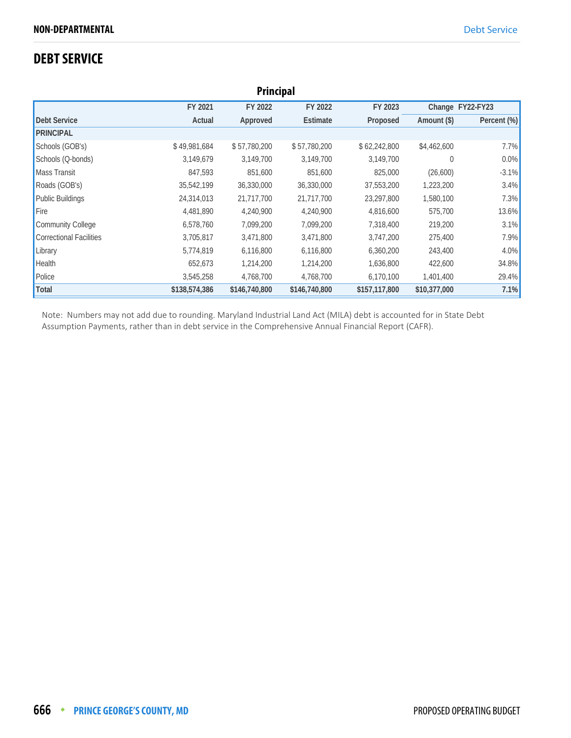# **DEBT SERVICE**

| <b>Principal</b>         |               |               |                 |               |                  |             |  |
|--------------------------|---------------|---------------|-----------------|---------------|------------------|-------------|--|
|                          | FY 2021       | FY 2022       | FY 2022         | FY 2023       | Change FY22-FY23 |             |  |
| <b>Debt Service</b>      | Actual        | Approved      | <b>Estimate</b> | Proposed      | Amount (\$)      | Percent (%) |  |
| <b>PRINCIPAL</b>         |               |               |                 |               |                  |             |  |
| Schools (GOB's)          | \$49,981,684  | \$57,780,200  | \$57,780,200    | \$62,242,800  | \$4,462,600      | 7.7%        |  |
| Schools (Q-bonds)        | 3,149,679     | 3,149,700     | 3,149,700       | 3,149,700     | 0                | 0.0%        |  |
| <b>Mass Transit</b>      | 847,593       | 851,600       | 851,600         | 825,000       | (26,600)         | $-3.1%$     |  |
| Roads (GOB's)            | 35,542,199    | 36,330,000    | 36,330,000      | 37,553,200    | 1,223,200        | 3.4%        |  |
| <b>Public Buildings</b>  | 24,314,013    | 21,717,700    | 21,717,700      | 23,297,800    | 1,580,100        | 7.3%        |  |
| Fire                     | 4,481,890     | 4,240,900     | 4,240,900       | 4,816,600     | 575,700          | 13.6%       |  |
| <b>Community College</b> | 6,578,760     | 7,099,200     | 7,099,200       | 7,318,400     | 219,200          | 3.1%        |  |
| Correctional Facilities  | 3,705,817     | 3,471,800     | 3,471,800       | 3,747,200     | 275,400          | 7.9%        |  |
| Library                  | 5,774,819     | 6,116,800     | 6,116,800       | 6,360,200     | 243,400          | 4.0%        |  |
| Health                   | 652,673       | 1,214,200     | 1,214,200       | 1,636,800     | 422,600          | 34.8%       |  |
| Police                   | 3,545,258     | 4,768,700     | 4,768,700       | 6,170,100     | 1,401,400        | 29.4%       |  |
| Total                    | \$138,574,386 | \$146,740,800 | \$146,740,800   | \$157,117,800 | \$10,377,000     | 7.1%        |  |

Note: Numbers may not add due to rounding. Maryland Industrial Land Act (MILA) debt is accounted for in State Debt Assumption Payments, rather than in debt service in the Comprehensive Annual Financial Report (CAFR).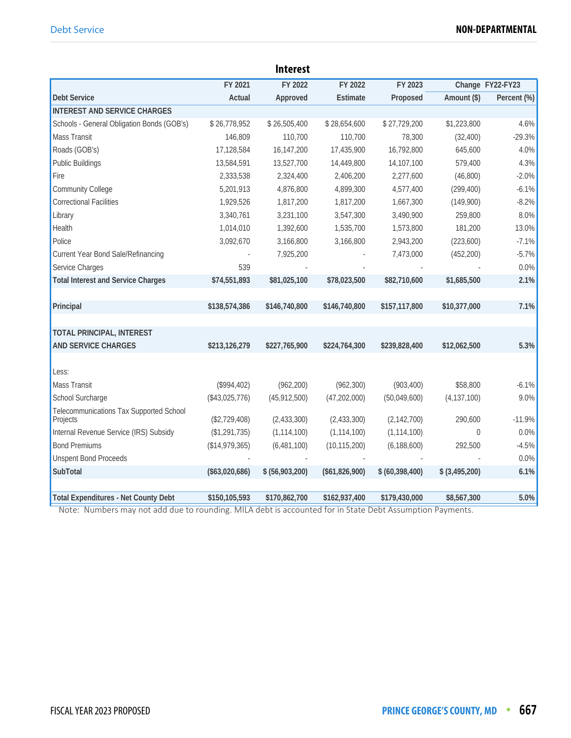|                                                     |                 | <b>Interest</b> |                |                   |                 |                  |
|-----------------------------------------------------|-----------------|-----------------|----------------|-------------------|-----------------|------------------|
|                                                     | FY 2021         | FY 2022         | FY 2022        | FY 2023           |                 | Change FY22-FY23 |
| <b>Debt Service</b>                                 | Actual          | Approved        | Estimate       | Proposed          | Amount (\$)     | Percent (%)      |
| <b>INTEREST AND SERVICE CHARGES</b>                 |                 |                 |                |                   |                 |                  |
| Schools - General Obligation Bonds (GOB's)          | \$26,778,952    | \$26,505,400    | \$28,654,600   | \$27,729,200      | \$1,223,800     | 4.6%             |
| <b>Mass Transit</b>                                 | 146,809         | 110,700         | 110,700        | 78,300            | (32, 400)       | $-29.3%$         |
| Roads (GOB's)                                       | 17,128,584      | 16,147,200      | 17,435,900     | 16,792,800        | 645,600         | 4.0%             |
| <b>Public Buildings</b>                             | 13,584,591      | 13,527,700      | 14,449,800     | 14,107,100        | 579,400         | 4.3%             |
| Fire                                                | 2,333,538       | 2,324,400       | 2,406,200      | 2,277,600         | (46, 800)       | $-2.0%$          |
| <b>Community College</b>                            | 5,201,913       | 4,876,800       | 4,899,300      | 4,577,400         | (299, 400)      | $-6.1%$          |
| Correctional Facilities                             | 1,929,526       | 1,817,200       | 1,817,200      | 1,667,300         | (149,900)       | $-8.2%$          |
| Library                                             | 3,340,761       | 3,231,100       | 3,547,300      | 3,490,900         | 259,800         | 8.0%             |
| Health                                              | 1,014,010       | 1,392,600       | 1,535,700      | 1,573,800         | 181,200         | 13.0%            |
| Police                                              | 3,092,670       | 3,166,800       | 3,166,800      | 2,943,200         | (223,600)       | $-7.1%$          |
| Current Year Bond Sale/Refinancing                  |                 | 7,925,200       |                | 7,473,000         | (452, 200)      | $-5.7%$          |
| Service Charges                                     | 539             |                 |                |                   |                 | 0.0%             |
| <b>Total Interest and Service Charges</b>           | \$74,551,893    | \$81,025,100    | \$78,023,500   | \$82,710,600      | \$1,685,500     | 2.1%             |
|                                                     |                 |                 |                |                   |                 |                  |
| Principal                                           | \$138,574,386   | \$146,740,800   | \$146,740,800  | \$157,117,800     | \$10,377,000    | 7.1%             |
|                                                     |                 |                 |                |                   |                 |                  |
| <b>TOTAL PRINCIPAL, INTEREST</b>                    |                 |                 |                |                   |                 |                  |
| <b>AND SERVICE CHARGES</b>                          | \$213,126,279   | \$227,765,900   | \$224,764,300  | \$239,828,400     | \$12,062,500    | 5.3%             |
|                                                     |                 |                 |                |                   |                 |                  |
| Less:                                               |                 |                 |                |                   |                 |                  |
| <b>Mass Transit</b>                                 | (\$994,402)     | (962, 200)      | (962, 300)     | (903, 400)        | \$58,800        | $-6.1%$          |
| School Surcharge                                    | $(*43,025,776)$ | (45, 912, 500)  | (47, 202, 000) | (50,049,600)      | (4, 137, 100)   | 9.0%             |
| Telecommunications Tax Supported School<br>Projects | (\$2,729,408)   | (2,433,300)     | (2,433,300)    | (2, 142, 700)     | 290,600         | $-11.9%$         |
| Internal Revenue Service (IRS) Subsidy              | (\$1,291,735)   | (1, 114, 100)   | (1, 114, 100)  | (1, 114, 100)     | $\theta$        | 0.0%             |
| <b>Bond Premiums</b>                                | (\$14,979,365)  | (6,481,100)     | (10, 115, 200) | (6, 188, 600)     | 292,500         | $-4.5%$          |
| <b>Unspent Bond Proceeds</b>                        |                 |                 |                |                   |                 | 0.0%             |
| SubTotal                                            | (\$63,020,686)  | \$ (56,903,200) | (\$61,826,900) | \$ (60, 398, 400) | $$$ (3,495,200) | 6.1%             |
|                                                     |                 |                 |                |                   |                 |                  |
| <b>Total Expenditures - Net County Debt</b>         | \$150,105,593   | \$170,862,700   | \$162,937,400  | \$179,430,000     | \$8,567,300     | 5.0%             |

Note: Numbers may not add due to rounding. MILA debt is accounted for in State Debt Assumption Payments.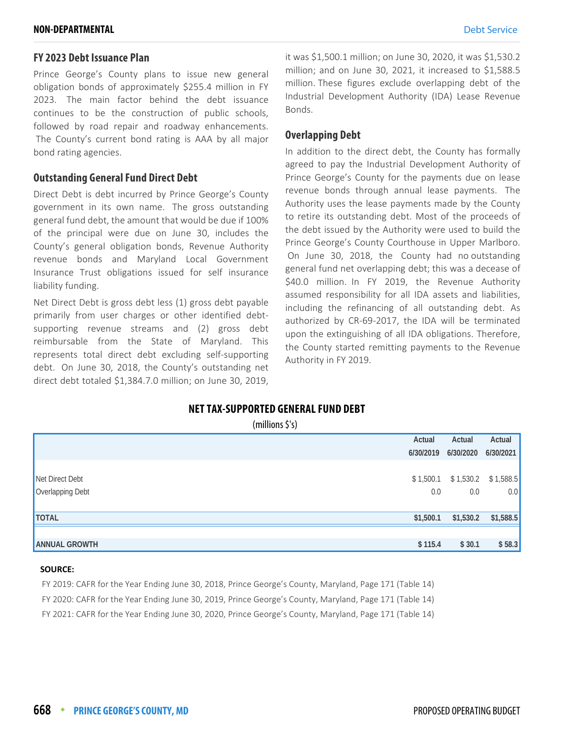#### **FY 2023 Debt Issuance Plan**

Prince George's County plans to issue new general obligation bonds of approximately \$255.4 million in FY 2023. The main factor behind the debt issuance continues to be the construction of public schools, followed by road repair and roadway enhancements. The County's current bond rating is AAA by all major bond rating agencies.

#### **Outstanding General Fund Direct Debt**

Direct Debt is debt incurred by Prince George's County government in its own name. The gross outstanding general fund debt, the amount that would be due if 100% of the principal were due on June 30, includes the County's general obligation bonds, Revenue Authority revenue bonds and Maryland Local Government Insurance Trust obligations issued for self insurance liability funding.

Net Direct Debt is gross debt less (1) gross debt payable primarily from user charges or other identified debtsupporting revenue streams and (2) gross debt reimbursable from the State of Maryland. This represents total direct debt excluding self-supporting debt. On June 30, 2018, the County's outstanding net direct debt totaled \$1,384.7.0 million; on June 30, 2019, it was \$1,500.1 million; on June 30, 2020, it was \$1,530.2 million; and on June 30, 2021, it increased to \$1,588.5 million. These figures exclude overlapping debt of the Industrial Development Authority (IDA) Lease Revenue Bonds.

#### **Overlapping Debt**

In addition to the direct debt, the County has formally agreed to pay the Industrial Development Authority of Prince George's County for the payments due on lease revenue bonds through annual lease payments. The Authority uses the lease payments made by the County to retire its outstanding debt. Most of the proceeds of the debt issued by the Authority were used to build the Prince George's County Courthouse in Upper Marlboro. On June 30, 2018, the County had no outstanding general fund net overlapping debt; this was a decease of \$40.0 million. In FY 2019, the Revenue Authority assumed responsibility for all IDA assets and liabilities, including the refinancing of all outstanding debt. As authorized by CR-69-2017, the IDA will be terminated upon the extinguishing of all IDA obligations. Therefore, the County started remitting payments to the Revenue Authority in FY 2019.

#### **NET TAX-SUPPORTED GENERAL FUND DEBT**

| $(millions \xi's)$ |  |
|--------------------|--|
|                    |  |

|                      | Actual    | Actual    | Actual                |
|----------------------|-----------|-----------|-----------------------|
|                      | 6/30/2019 | 6/30/2020 | 6/30/2021             |
| Net Direct Debt      | \$1,500.1 | 0.0       | $$1,530.2$ $$1,588.5$ |
| Overlapping Debt     | 0.0       |           | 0.0                   |
| <b>TOTAL</b>         | \$1,500.1 | \$1,530.2 | \$1,588.5             |
| <b>ANNUAL GROWTH</b> | \$115.4   | \$30.1    | \$58.3                |

#### **SOURCE:**

FY 2019: CAFR for the Year Ending June 30, 2018, Prince George's County, Maryland, Page 171 (Table 14)

FY 2020: CAFR for the Year Ending June 30, 2019, Prince George's County, Maryland, Page 171 (Table 14)

FY 2021: CAFR for the Year Ending June 30, 2020, Prince George's County, Maryland, Page 171 (Table 14)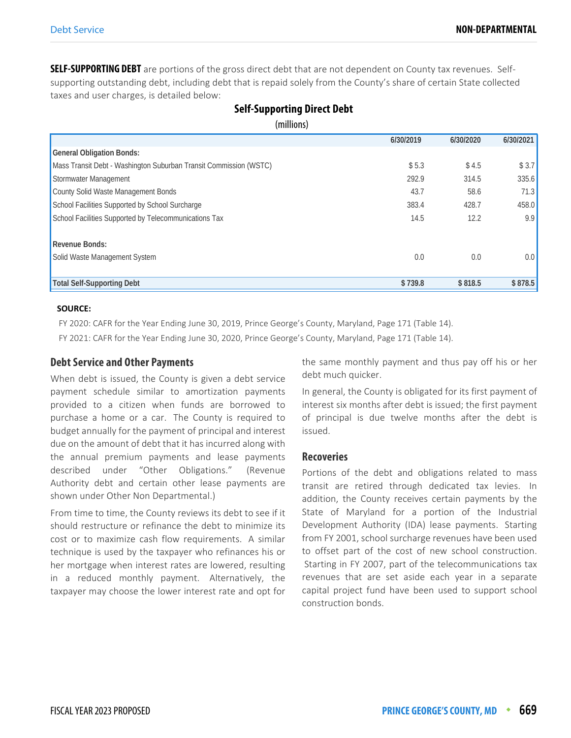**SELF-SUPPORTING DEBT** are portions of the gross direct debt that are not dependent on County tax revenues. Selfsupporting outstanding debt, including debt that is repaid solely from the County's share of certain State collected taxes and user charges, is detailed below:

| $\frac{1}{2}$                                                     |           |           |                  |
|-------------------------------------------------------------------|-----------|-----------|------------------|
|                                                                   | 6/30/2019 | 6/30/2020 | 6/30/2021        |
| <b>General Obligation Bonds:</b>                                  |           |           |                  |
| Mass Transit Debt - Washington Suburban Transit Commission (WSTC) | \$5.3     | \$4.5     | \$3.7            |
| Stormwater Management                                             | 292.9     | 314.5     | 335.6            |
| County Solid Waste Management Bonds                               | 43.7      | 58.6      | 71.3             |
| School Facilities Supported by School Surcharge                   | 383.4     | 428.7     | 458.0            |
| School Facilities Supported by Telecommunications Tax             | 14.5      | 12.2      | 9.9              |
|                                                                   |           |           |                  |
| <b>Revenue Bonds:</b>                                             |           |           |                  |
| Solid Waste Management System                                     | 0.0       | 0.0       | 0.0 <sub>1</sub> |
|                                                                   |           |           |                  |
| <b>Total Self-Supporting Debt</b>                                 | \$739.8   | \$818.5   | \$878.5          |

#### **Self-Supporting Direct Debt**  (millions)

#### **SOURCE:**

FY 2020: CAFR for the Year Ending June 30, 2019, Prince George's County, Maryland, Page 171 (Table 14).

FY 2021: CAFR for the Year Ending June 30, 2020, Prince George's County, Maryland, Page 171 (Table 14).

#### **Debt Service and Other Payments**

When debt is issued, the County is given a debt service payment schedule similar to amortization payments provided to a citizen when funds are borrowed to purchase a home or a car. The County is required to budget annually for the payment of principal and interest due on the amount of debt that it has incurred along with the annual premium payments and lease payments described under "Other Obligations." (Revenue Authority debt and certain other lease payments are shown under Other Non Departmental.)

From time to time, the County reviews its debt to see if it should restructure or refinance the debt to minimize its cost or to maximize cash flow requirements. A similar technique is used by the taxpayer who refinances his or her mortgage when interest rates are lowered, resulting in a reduced monthly payment. Alternatively, the taxpayer may choose the lower interest rate and opt for the same monthly payment and thus pay off his or her debt much quicker.

In general, the County is obligated for its first payment of interest six months after debt is issued; the first payment of principal is due twelve months after the debt is issued.

#### **Recoveries**

Portions of the debt and obligations related to mass transit are retired through dedicated tax levies. In addition, the County receives certain payments by the State of Maryland for a portion of the Industrial Development Authority (IDA) lease payments. Starting from FY 2001, school surcharge revenues have been used to offset part of the cost of new school construction. Starting in FY 2007, part of the telecommunications tax revenues that are set aside each year in a separate capital project fund have been used to support school construction bonds.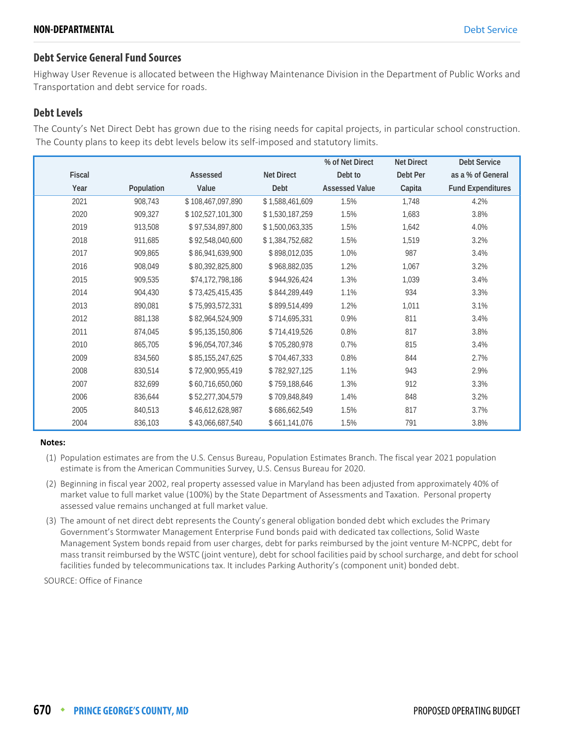#### **Debt Service General Fund Sources**

Highway User Revenue is allocated between the Highway Maintenance Division in the Department of Public Works and Transportation and debt service for roads.

#### **Debt Levels**

The County's Net Direct Debt has grown due to the rising needs for capital projects, in particular school construction. The County plans to keep its debt levels below its self-imposed and statutory limits.

|               |            |                   |                   | % of Net Direct       | <b>Net Direct</b> | <b>Debt Service</b>      |
|---------------|------------|-------------------|-------------------|-----------------------|-------------------|--------------------------|
| <b>Fiscal</b> |            | Assessed          | <b>Net Direct</b> | Debt to               | Debt Per          | as a % of General        |
| Year          | Population | Value             | Debt              | <b>Assessed Value</b> | Capita            | <b>Fund Expenditures</b> |
| 2021          | 908,743    | \$108,467,097,890 | \$1,588,461,609   | 1.5%                  | 1,748             | 4.2%                     |
| 2020          | 909,327    | \$102,527,101,300 | \$1,530,187,259   | 1.5%                  | 1,683             | 3.8%                     |
| 2019          | 913,508    | \$97,534,897,800  | \$1,500,063,335   | 1.5%                  | 1,642             | 4.0%                     |
| 2018          | 911,685    | \$92,548,040,600  | \$1,384,752,682   | 1.5%                  | 1,519             | 3.2%                     |
| 2017          | 909,865    | \$86,941,639,900  | \$898,012,035     | 1.0%                  | 987               | 3.4%                     |
| 2016          | 908,049    | \$80,392,825,800  | \$968,882,035     | 1.2%                  | 1,067             | 3.2%                     |
| 2015          | 909,535    | \$74,172,798,186  | \$944,926,424     | 1.3%                  | 1,039             | 3.4%                     |
| 2014          | 904,430    | \$73,425,415,435  | \$844,289,449     | 1.1%                  | 934               | 3.3%                     |
| 2013          | 890,081    | \$75,993,572,331  | \$899,514,499     | 1.2%                  | 1,011             | 3.1%                     |
| 2012          | 881,138    | \$82,964,524,909  | \$714,695,331     | 0.9%                  | 811               | 3.4%                     |
| 2011          | 874,045    | \$95,135,150,806  | \$714,419,526     | 0.8%                  | 817               | 3.8%                     |
| 2010          | 865,705    | \$96,054,707,346  | \$705,280,978     | 0.7%                  | 815               | 3.4%                     |
| 2009          | 834,560    | \$85,155,247,625  | \$704,467,333     | 0.8%                  | 844               | 2.7%                     |
| 2008          | 830,514    | \$72,900,955,419  | \$782,927,125     | 1.1%                  | 943               | 2.9%                     |
| 2007          | 832,699    | \$60,716,650,060  | \$759,188,646     | 1.3%                  | 912               | 3.3%                     |
| 2006          | 836,644    | \$52,277,304,579  | \$709,848,849     | 1.4%                  | 848               | 3.2%                     |
| 2005          | 840,513    | \$46,612,628,987  | \$686,662,549     | 1.5%                  | 817               | 3.7%                     |
| 2004          | 836,103    | \$43,066,687,540  | \$661,141,076     | 1.5%                  | 791               | 3.8%                     |

#### **Notes:**

- (1) Population estimates are from the U.S. Census Bureau, Population Estimates Branch. The fiscal year 2021 population estimate is from the American Communities Survey, U.S. Census Bureau for 2020.
- (2) Beginning in fiscal year 2002, real property assessed value in Maryland has been adjusted from approximately 40% of market value to full market value (100%) by the State Department of Assessments and Taxation. Personal property assessed value remains unchanged at full market value.
- (3) The amount of net direct debt represents the County's general obligation bonded debt which excludes the Primary Government's Stormwater Management Enterprise Fund bonds paid with dedicated tax collections, Solid Waste Management System bonds repaid from user charges, debt for parks reimbursed by the joint venture M-NCPPC, debt for mass transit reimbursed by the WSTC (joint venture), debt for school facilities paid by school surcharge, and debt for school facilities funded by telecommunications tax. It includes Parking Authority's (component unit) bonded debt.

SOURCE: Office of Finance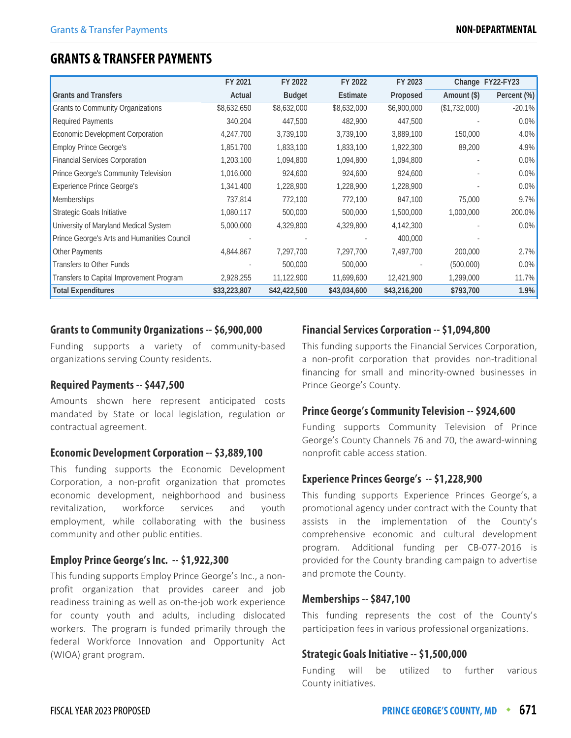# **GRANTS & TRANSFER PAYMENTS**

|                                             | FY 2021      | FY 2022       | FY 2022      | FY 2023      |               | Change FY22-FY23 |
|---------------------------------------------|--------------|---------------|--------------|--------------|---------------|------------------|
| <b>Grants and Transfers</b>                 | Actual       | <b>Budget</b> | Estimate     | Proposed     | Amount (\$)   | Percent (%)      |
| Grants to Community Organizations           | \$8,632,650  | \$8,632,000   | \$8,632,000  | \$6,900,000  | (\$1,732,000) | $-20.1%$         |
| <b>Required Payments</b>                    | 340,204      | 447,500       | 482,900      | 447,500      |               | $0.0\%$          |
| Economic Development Corporation            | 4,247,700    | 3,739,100     | 3,739,100    | 3,889,100    | 150,000       | 4.0%             |
| <b>Employ Prince George's</b>               | 1,851,700    | 1,833,100     | 1,833,100    | 1,922,300    | 89,200        | 4.9%             |
| <b>Financial Services Corporation</b>       | 1,203,100    | 1,094,800     | 1,094,800    | 1,094,800    |               | 0.0%             |
| Prince George's Community Television        | 1,016,000    | 924,600       | 924,600      | 924,600      |               | 0.0%             |
| <b>Experience Prince George's</b>           | 1,341,400    | 1,228,900     | 1,228,900    | 1,228,900    |               | 0.0%             |
| <b>Memberships</b>                          | 737,814      | 772,100       | 772,100      | 847,100      | 75,000        | 9.7%             |
| Strategic Goals Initiative                  | 1,080,117    | 500,000       | 500,000      | 1,500,000    | 1,000,000     | 200.0%           |
| University of Maryland Medical System       | 5,000,000    | 4,329,800     | 4,329,800    | 4,142,300    |               | $0.0\%$          |
| Prince George's Arts and Humanities Council |              |               |              | 400,000      |               |                  |
| Other Payments                              | 4,844,867    | 7,297,700     | 7,297,700    | 7,497,700    | 200,000       | 2.7%             |
| Transfers to Other Funds                    |              | 500,000       | 500,000      |              | (500,000)     | 0.0%             |
| Transfers to Capital Improvement Program    | 2,928,255    | 11,122,900    | 11,699,600   | 12,421,900   | 1,299,000     | 11.7%            |
| <b>Total Expenditures</b>                   | \$33,223,807 | \$42,422,500  | \$43,034,600 | \$43,216,200 | \$793,700     | 1.9%             |

#### **Grants to Community Organizations -- \$6,900,000**

Funding supports a variety of community-based organizations serving County residents.

#### **Required Payments -- \$447,500**

Amounts shown here represent anticipated costs mandated by State or local legislation, regulation or contractual agreement.

#### **Economic Development Corporation -- \$3,889,100**

This funding supports the Economic Development Corporation, a non-profit organization that promotes economic development, neighborhood and business revitalization, workforce services and youth employment, while collaborating with the business community and other public entities.

#### **Employ Prince George's Inc. -- \$1,922,300**

This funding supports Employ Prince George's Inc., a nonprofit organization that provides career and job readiness training as well as on-the-job work experience for county youth and adults, including dislocated workers. The program is funded primarily through the federal Workforce Innovation and Opportunity Act (WIOA) grant program.

#### **Financial Services Corporation -- \$1,094,800**

This funding supports the Financial Services Corporation, a non-profit corporation that provides non-traditional financing for small and minority-owned businesses in Prince George's County.

#### **Prince George's Community Television -- \$924,600**

Funding supports Community Television of Prince George's County Channels 76 and 70, the award-winning nonprofit cable access station.

#### **Experience Princes George's -- \$1,228,900**

This funding supports Experience Princes George's, a promotional agency under contract with the County that assists in the implementation of the County's comprehensive economic and cultural development program. Additional funding per CB-077-2016 is provided for the County branding campaign to advertise and promote the County.

#### **Memberships -- \$847,100**

This funding represents the cost of the County's participation fees in various professional organizations.

#### **Strategic Goals Initiative -- \$1,500,000**

Funding will be utilized to further various County initiatives.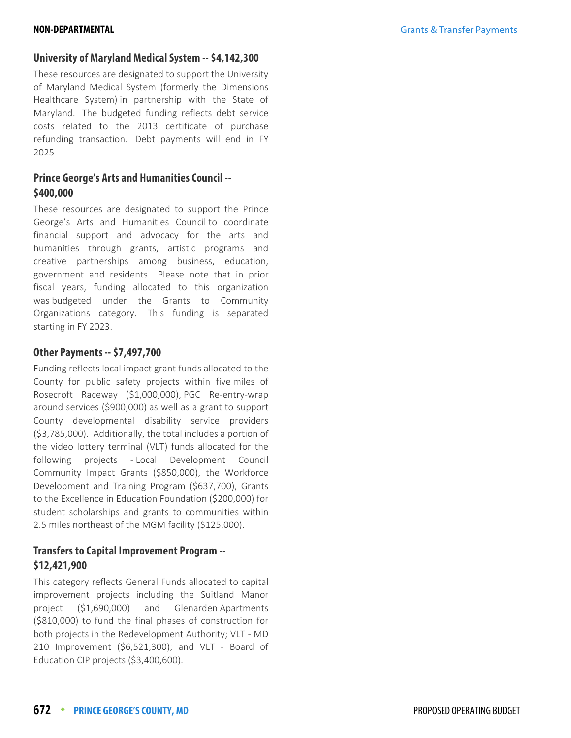#### **University of Maryland Medical System -- \$4,142,300**

These resources are designated to support the University of Maryland Medical System (formerly the Dimensions Healthcare System) in partnership with the State of Maryland. The budgeted funding reflects debt service costs related to the 2013 certificate of purchase refunding transaction. Debt payments will end in FY 2025

#### **Prince George's Arts and Humanities Council -- \$400,000**

These resources are designated to support the Prince George's Arts and Humanities Council to coordinate financial support and advocacy for the arts and humanities through grants, artistic programs and creative partnerships among business, education, government and residents. Please note that in prior fiscal years, funding allocated to this organization was budgeted under the Grants to Community Organizations category. This funding is separated starting in FY 2023.

#### **Other Payments -- \$7,497,700**

Funding reflects local impact grant funds allocated to the County for public safety projects within five miles of Rosecroft Raceway (\$1,000,000), PGC Re-entry-wrap around services (\$900,000) as well as a grant to support County developmental disability service providers (\$3,785,000). Additionally, the total includes a portion of the video lottery terminal (VLT) funds allocated for the following projects - Local Development Council Community Impact Grants (\$850,000), the Workforce Development and Training Program (\$637,700), Grants to the Excellence in Education Foundation (\$200,000) for student scholarships and grants to communities within 2.5 miles northeast of the MGM facility (\$125,000).

#### **Transfers to Capital Improvement Program -- \$12,421,900**

This category reflects General Funds allocated to capital improvement projects including the Suitland Manor project (\$1,690,000) and Glenarden Apartments (\$810,000) to fund the final phases of construction for both projects in the Redevelopment Authority; VLT - MD 210 Improvement (\$6,521,300); and VLT - Board of Education CIP projects (\$3,400,600).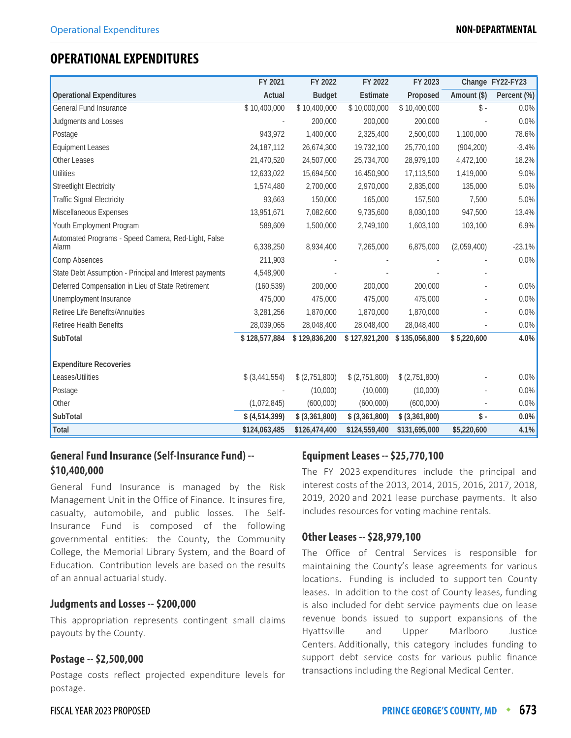# **OPERATIONAL EXPENDITURES**

|                                                              | FY 2021           | FY 2022           | FY 2022           | FY 2023           |                | Change FY22-FY23 |
|--------------------------------------------------------------|-------------------|-------------------|-------------------|-------------------|----------------|------------------|
| <b>Operational Expenditures</b>                              | Actual            | <b>Budget</b>     | Estimate          | Proposed          | Amount (\$)    | Percent (%)      |
| General Fund Insurance                                       | \$10,400,000      | \$10,400,000      | \$10,000,000      | \$10,400,000      | $\mathbb{S}$ - | $0.0\%$          |
| Judgments and Losses                                         |                   | 200,000           | 200,000           | 200,000           |                | 0.0%             |
| Postage                                                      | 943,972           | 1,400,000         | 2,325,400         | 2,500,000         | 1,100,000      | 78.6%            |
| <b>Equipment Leases</b>                                      | 24,187,112        | 26,674,300        | 19,732,100        | 25,770,100        | (904, 200)     | $-3.4%$          |
| Other Leases                                                 | 21,470,520        | 24,507,000        | 25,734,700        | 28,979,100        | 4,472,100      | 18.2%            |
| <b>Utilities</b>                                             | 12,633,022        | 15,694,500        | 16,450,900        | 17,113,500        | 1,419,000      | 9.0%             |
| <b>Streetlight Electricity</b>                               | 1,574,480         | 2,700,000         | 2,970,000         | 2,835,000         | 135,000        | 5.0%             |
| <b>Traffic Signal Electricity</b>                            | 93,663            | 150,000           | 165,000           | 157,500           | 7,500          | 5.0%             |
| Miscellaneous Expenses                                       | 13,951,671        | 7,082,600         | 9,735,600         | 8,030,100         | 947,500        | 13.4%            |
| Youth Employment Program                                     | 589,609           | 1,500,000         | 2,749,100         | 1,603,100         | 103,100        | 6.9%             |
| Automated Programs - Speed Camera, Red-Light, False<br>Alarm | 6,338,250         | 8,934,400         | 7,265,000         | 6,875,000         | (2,059,400)    | $-23.1%$         |
| Comp Absences                                                | 211,903           |                   |                   |                   |                | 0.0%             |
| State Debt Assumption - Principal and Interest payments      | 4,548,900         |                   |                   |                   |                |                  |
| Deferred Compensation in Lieu of State Retirement            | (160, 539)        | 200,000           | 200,000           | 200,000           |                | 0.0%             |
| Unemployment Insurance                                       | 475,000           | 475,000           | 475,000           | 475,000           |                | 0.0%             |
| Retiree Life Benefits/Annuities                              | 3,281,256         | 1,870,000         | 1,870,000         | 1,870,000         |                | 0.0%             |
| Retiree Health Benefits                                      | 28,039,065        | 28,048,400        | 28,048,400        | 28,048,400        |                | 0.0%             |
| SubTotal                                                     | \$128,577,884     | \$129,836,200     | \$127,921,200     | \$135,056,800     | \$5,220,600    | 4.0%             |
|                                                              |                   |                   |                   |                   |                |                  |
| <b>Expenditure Recoveries</b>                                |                   |                   |                   |                   |                |                  |
| Leases/Utilities                                             | $$$ $(3,441,554)$ | \$(2,751,800)     | \$(2,751,800)     | \$ (2,751,800)    |                | 0.0%             |
| Postage                                                      |                   | (10,000)          | (10,000)          | (10,000)          |                | 0.0%             |
| Other                                                        | (1,072,845)       | (600,000)         | (600,000)         | (600,000)         |                | 0.0%             |
| SubTotal                                                     | \$ (4,514,399)    | $$$ $(3,361,800)$ | $$$ $(3,361,800)$ | $$$ $(3,361,800)$ | \$-            | 0.0%             |
| Total                                                        | \$124,063,485     | \$126,474,400     | \$124,559,400     | \$131,695,000     | \$5,220,600    | 4.1%             |

#### **General Fund Insurance (Self-Insurance Fund) -- \$10,400,000**

General Fund Insurance is managed by the Risk Management Unit in the Office of Finance. It insures fire, casualty, automobile, and public losses. The Self-Insurance Fund is composed of the following governmental entities: the County, the Community College, the Memorial Library System, and the Board of Education. Contribution levels are based on the results of an annual actuarial study.

#### **Judgments and Losses -- \$200,000**

This appropriation represents contingent small claims payouts by the County.

#### **Postage -- \$2,500,000**

Postage costs reflect projected expenditure levels for postage.

#### **Equipment Leases -- \$25,770,100**

The FY 2023 expenditures include the principal and interest costs of the 2013, 2014, 2015, 2016, 2017, 2018, 2019, 2020 and 2021 lease purchase payments. It also includes resources for voting machine rentals.

#### **Other Leases -- \$28,979,100**

The Office of Central Services is responsible for maintaining the County's lease agreements for various locations. Funding is included to support ten County leases. In addition to the cost of County leases, funding is also included for debt service payments due on lease revenue bonds issued to support expansions of the Hyattsville and Upper Marlboro Justice Centers. Additionally, this category includes funding to support debt service costs for various public finance transactions including the Regional Medical Center.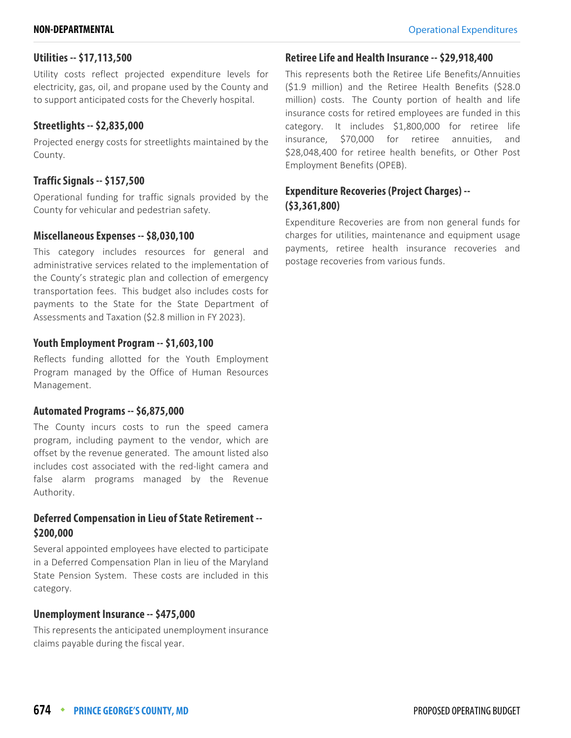#### **Utilities -- \$17,113,500**

Utility costs reflect projected expenditure levels for electricity, gas, oil, and propane used by the County and to support anticipated costs for the Cheverly hospital.

#### **Streetlights -- \$2,835,000**

Projected energy costs for streetlights maintained by the County.

#### **Traffic Signals -- \$157,500**

Operational funding for traffic signals provided by the County for vehicular and pedestrian safety.

#### **Miscellaneous Expenses -- \$8,030,100**

This category includes resources for general and administrative services related to the implementation of the County's strategic plan and collection of emergency transportation fees. This budget also includes costs for payments to the State for the State Department of Assessments and Taxation (\$2.8 million in FY 2023).

#### **Youth Employment Program -- \$1,603,100**

Reflects funding allotted for the Youth Employment Program managed by the Office of Human Resources Management.

#### **Automated Programs -- \$6,875,000**

The County incurs costs to run the speed camera program, including payment to the vendor, which are offset by the revenue generated. The amount listed also includes cost associated with the red-light camera and false alarm programs managed by the Revenue Authority.

#### **Deferred Compensation in Lieu of State Retirement -- \$200,000**

Several appointed employees have elected to participate in a Deferred Compensation Plan in lieu of the Maryland State Pension System. These costs are included in this category.

#### **Unemployment Insurance -- \$475,000**

This represents the anticipated unemployment insurance claims payable during the fiscal year.

### **Retiree Life and Health Insurance -- \$29,918,400**

This represents both the Retiree Life Benefits/Annuities (\$1.9 million) and the Retiree Health Benefits (\$28.0 million) costs. The County portion of health and life insurance costs for retired employees are funded in this category. It includes \$1,800,000 for retiree life insurance, \$70,000 for retiree annuities, and \$28,048,400 for retiree health benefits, or Other Post Employment Benefits (OPEB).

#### **Expenditure Recoveries (Project Charges) -- (\$3,361,800)**

Expenditure Recoveries are from non general funds for charges for utilities, maintenance and equipment usage payments, retiree health insurance recoveries and postage recoveries from various funds.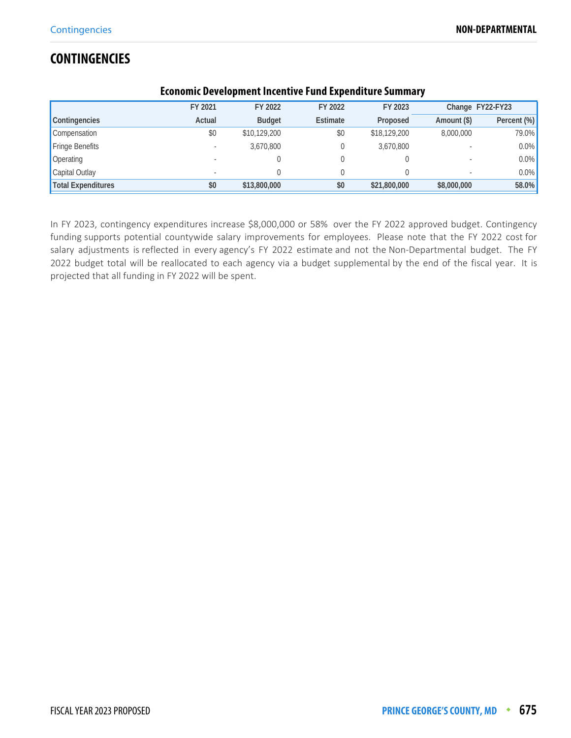# **CONTINGENCIES**

| <u>ECONOMIC DEVEROPMENT MICENTIVE L'UNU EXPENSITUIT D'UNIMITÀ V</u> |         |               |          |              |             |                  |  |  |
|---------------------------------------------------------------------|---------|---------------|----------|--------------|-------------|------------------|--|--|
|                                                                     | FY 2021 | FY 2022       | FY 2022  | FY 2023      |             | Change FY22-FY23 |  |  |
| Contingencies                                                       | Actual  | <b>Budget</b> | Estimate | Proposed     | Amount (\$) | Percent (%)      |  |  |
| Compensation                                                        | \$0     | \$10,129,200  | \$0      | \$18,129,200 | 8,000,000   | 79.0%            |  |  |
| Fringe Benefits                                                     |         | 3.670.800     |          | 3,670,800    |             | 0.0%             |  |  |
| Operating                                                           |         |               |          |              |             | $0.0\%$          |  |  |
| Capital Outlay                                                      |         |               |          |              |             | $0.0\%$          |  |  |
| <b>Total Expenditures</b>                                           | \$0     | \$13,800,000  | \$0      | \$21,800,000 | \$8,000,000 | 58.0%            |  |  |

#### **Economic Development Incentive Fund Expenditure Summary**

In FY 2023, contingency expenditures increase \$8,000,000 or 58% over the FY 2022 approved budget. Contingency funding supports potential countywide salary improvements for employees. Please note that the FY 2022 cost for salary adjustments is reflected in every agency's FY 2022 estimate and not the Non-Departmental budget. The FY 2022 budget total will be reallocated to each agency via a budget supplemental by the end of the fiscal year. It is projected that all funding in FY 2022 will be spent.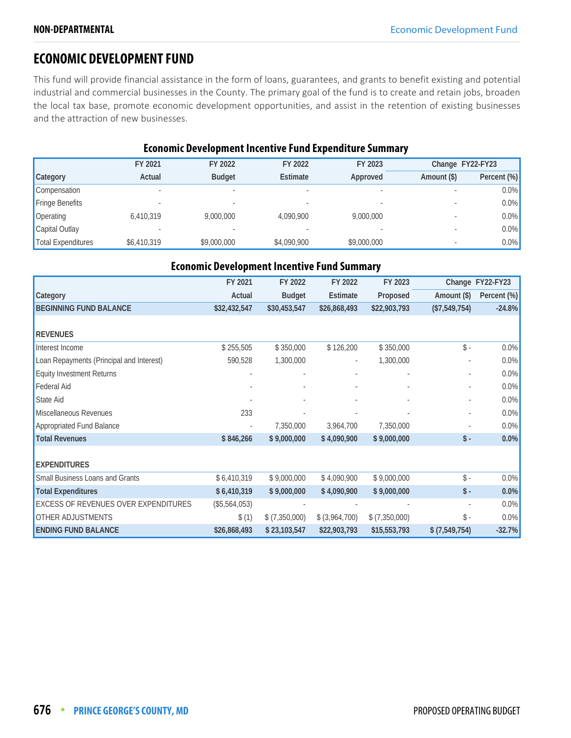# **ECONOMIC DEVELOPMENT FUND**

This fund will provide financial assistance in the form of loans, guarantees, and grants to benefit existing and potential industrial and commercial businesses in the County. The primary goal of the fund is to create and retain jobs, broaden the local tax base, promote economic development opportunities, and assist in the retention of existing businesses and the attraction of new businesses.

#### **Economic Development Incentive Fund Expenditure Summary**

|                           | FY 2021     | FY 2022       | FY 2022     | FY 2023     |             | Change FY22-FY23 |
|---------------------------|-------------|---------------|-------------|-------------|-------------|------------------|
| Category                  | Actual      | <b>Budget</b> | Estimate    | Approved    | Amount (\$) | Percent (%)      |
| Compensation              |             |               |             |             |             | $0.0\%$          |
| <b>Fringe Benefits</b>    |             |               |             |             |             | $0.0\%$          |
| Operating                 | 6,410,319   | 9,000,000     | 4.090.900   | 9,000,000   |             | $0.0\%$          |
| Capital Outlay            |             |               |             |             |             | $0.0\%$          |
| <b>Total Expenditures</b> | \$6,410,319 | \$9,000,000   | \$4,090,900 | \$9,000,000 |             | $0.0\%$          |

| <b>Economic Development Incentive Fund Summary</b> |               |                 |                          |                 |                      |                  |  |  |  |
|----------------------------------------------------|---------------|-----------------|--------------------------|-----------------|----------------------|------------------|--|--|--|
|                                                    | FY 2021       | FY 2022         | FY 2022                  | FY 2023         |                      | Change FY22-FY23 |  |  |  |
| Category                                           | Actual        | <b>Budget</b>   | Estimate                 | Proposed        | Amount (\$)          | Percent (%)      |  |  |  |
| <b>BEGINNING FUND BALANCE</b>                      | \$32,432,547  | \$30,453,547    | \$26,868,493             | \$22,903,793    | (\$7,549,754)        | $-24.8%$         |  |  |  |
|                                                    |               |                 |                          |                 |                      |                  |  |  |  |
| <b>REVENUES</b>                                    |               |                 |                          |                 |                      |                  |  |  |  |
| Interest Income                                    | \$255,505     | \$350,000       | \$126,200                | \$350,000       | $\mathsf{\$}$ .      | $0.0\%$          |  |  |  |
| Loan Repayments (Principal and Interest)           | 590,528       | 1,300,000       | $\overline{\phantom{a}}$ | 1,300,000       |                      | $0.0\%$          |  |  |  |
| <b>Equity Investment Returns</b>                   |               |                 |                          |                 |                      | 0.0%             |  |  |  |
| Federal Aid                                        |               |                 |                          |                 |                      | $0.0\%$          |  |  |  |
| State Aid                                          |               |                 |                          |                 |                      | 0.0%             |  |  |  |
| Miscellaneous Revenues                             | 233           |                 |                          |                 |                      | 0.0%             |  |  |  |
| Appropriated Fund Balance                          |               | 7,350,000       | 3,964,700                | 7,350,000       |                      | 0.0%             |  |  |  |
| <b>Total Revenues</b>                              | \$846,266     | \$9,000,000     | \$4,090,900              | \$9,000,000     | $\mathsf{\$}$ -      | $0.0\%$          |  |  |  |
|                                                    |               |                 |                          |                 |                      |                  |  |  |  |
| <b>EXPENDITURES</b>                                |               |                 |                          |                 |                      |                  |  |  |  |
| Small Business Loans and Grants                    | \$6,410,319   | \$9,000,000     | \$4,090,900              | \$9,000,000     | $\mathsf{\$}$ .      | 0.0%             |  |  |  |
| <b>Total Expenditures</b>                          | \$6,410,319   | \$9,000,000     | \$4,090,900              | \$9,000,000     | $\mathsf{\$}$ .      | 0.0%             |  |  |  |
| <b>EXCESS OF REVENUES OVER EXPENDITURES</b>        | (\$5,564,053) |                 |                          |                 |                      | 0.0%             |  |  |  |
| <b>OTHER ADJUSTMENTS</b>                           | \$(1)         | $$$ (7,350,000) | $$$ (3,964,700)          | $$$ (7,350,000) | $\hat{\mathbb{S}}$ - | 0.0%             |  |  |  |
| <b>ENDING FUND BALANCE</b>                         | \$26,868,493  | \$23,103,547    | \$22,903,793             | \$15,553,793    | $$$ (7,549,754)      | $-32.7%$         |  |  |  |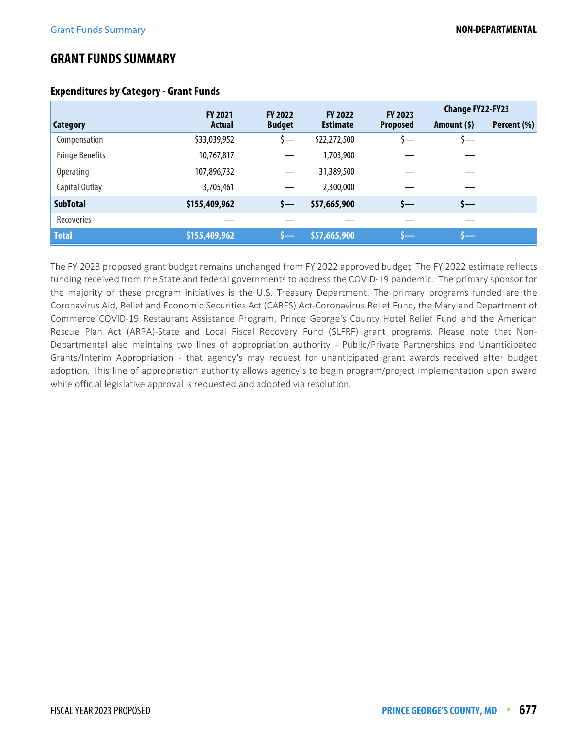# **GRANT FUNDS SUMMARY**

|                        | <b>FY 2021</b> | <b>FY 2022</b> | <b>FY 2022</b>  | FY 2023         | <b>Change FY22-FY23</b> |             |
|------------------------|----------------|----------------|-----------------|-----------------|-------------------------|-------------|
| <b>Category</b>        | <b>Actual</b>  | <b>Budget</b>  | <b>Estimate</b> | <b>Proposed</b> | Amount $(5)$            | Percent (%) |
| Compensation           | \$33,039,952   | s—             | \$22,272,500    |                 | ১—                      |             |
| <b>Fringe Benefits</b> | 10,767,817     |                | 1,703,900       |                 |                         |             |
| <b>Operating</b>       | 107,896,732    |                | 31,389,500      |                 |                         |             |
| Capital Outlay         | 3,705,461      |                | 2,300,000       |                 |                         |             |
| <b>SubTotal</b>        | \$155,409,962  | s—             | \$57,665,900    | s—              | s—                      |             |
| Recoveries             |                |                |                 |                 |                         |             |
| <b>Total</b>           | \$155,409,962  |                | \$57,665,900    |                 |                         |             |

#### **Expenditures by Category - Grant Funds**

The FY 2023 proposed grant budget remains unchanged from FY 2022 approved budget. The FY 2022 estimate reflects funding received from the State and federal governments to address the COVID-19 pandemic. The primary sponsor for the majority of these program initiatives is the U.S. Treasury Department. The primary programs funded are the Coronavirus Aid, Relief and Economic Securities Act (CARES) Act-Coronavirus Relief Fund, the Maryland Department of Commerce COVID-19 Restaurant Assistance Program, Prince George's County Hotel Relief Fund and the American Rescue Plan Act (ARPA)-State and Local Fiscal Recovery Fund (SLFRF) grant programs. Please note that Non-Departmental also maintains two lines of appropriation authority - Public/Private Partnerships and Unanticipated Grants/Interim Appropriation - that agency's may request for unanticipated grant awards received after budget adoption. This line of appropriation authority allows agency's to begin program/project implementation upon award while official legislative approval is requested and adopted via resolution.